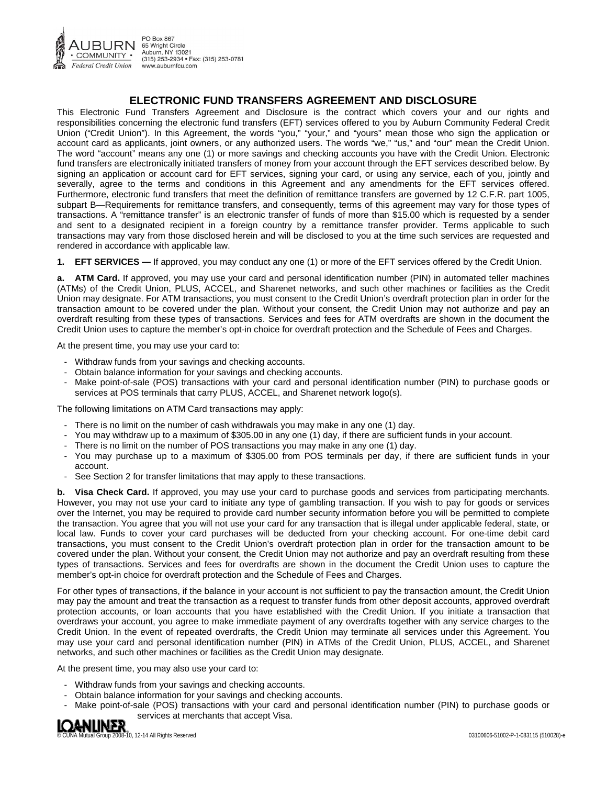

PO Box 867 65 Wright Circle Auburn, NY 13021<br>(315) 253-2934 • Fax: (315) 253-0781 www.auburnfcu.com

# **ELECTRONIC FUND TRANSFERS AGREEMENT AND DISCLOSURE**

This Electronic Fund Transfers Agreement and Disclosure is the contract which covers your and our rights and responsibilities concerning the electronic fund transfers (EFT) services offered to you by Auburn Community Federal Credit Union ("Credit Union"). In this Agreement, the words "you," "your," and "yours" mean those who sign the application or account card as applicants, joint owners, or any authorized users. The words "we," "us," and "our" mean the Credit Union. The word "account" means any one (1) or more savings and checking accounts you have with the Credit Union. Electronic fund transfers are electronically initiated transfers of money from your account through the EFT services described below. By signing an application or account card for EFT services, signing your card, or using any service, each of you, jointly and severally, agree to the terms and conditions in this Agreement and any amendments for the EFT services offered. Furthermore, electronic fund transfers that meet the definition of remittance transfers are governed by 12 C.F.R. part 1005, subpart B—Requirements for remittance transfers, and consequently, terms of this agreement may vary for those types of transactions. A "remittance transfer" is an electronic transfer of funds of more than \$15.00 which is requested by a sender and sent to a designated recipient in a foreign country by a remittance transfer provider. Terms applicable to such transactions may vary from those disclosed herein and will be disclosed to you at the time such services are requested and rendered in accordance with applicable law.

**1. EFT SERVICES —** If approved, you may conduct any one (1) or more of the EFT services offered by the Credit Union.

**a. ATM Card.** If approved, you may use your card and personal identification number (PIN) in automated teller machines (ATMs) of the Credit Union, PLUS, ACCEL, and Sharenet networks, and such other machines or facilities as the Credit Union may designate. For ATM transactions, you must consent to the Credit Union's overdraft protection plan in order for the transaction amount to be covered under the plan. Without your consent, the Credit Union may not authorize and pay an overdraft resulting from these types of transactions. Services and fees for ATM overdrafts are shown in the document the Credit Union uses to capture the member's opt-in choice for overdraft protection and the Schedule of Fees and Charges.

At the present time, you may use your card to:

- Withdraw funds from your savings and checking accounts.
- Obtain balance information for your savings and checking accounts.
- Make point-of-sale (POS) transactions with your card and personal identification number (PIN) to purchase goods or services at POS terminals that carry PLUS, ACCEL, and Sharenet network logo(s).

The following limitations on ATM Card transactions may apply:

- There is no limit on the number of cash withdrawals you may make in any one (1) day.
- You may withdraw up to a maximum of \$305.00 in any one (1) day, if there are sufficient funds in your account.
- There is no limit on the number of POS transactions you may make in any one (1) day.
- You may purchase up to a maximum of \$305.00 from POS terminals per day, if there are sufficient funds in your account.
- See Section 2 for transfer limitations that may apply to these transactions.

**b. Visa Check Card.** If approved, you may use your card to purchase goods and services from participating merchants. However, you may not use your card to initiate any type of gambling transaction. If you wish to pay for goods or services over the Internet, you may be required to provide card number security information before you will be permitted to complete the transaction. You agree that you will not use your card for any transaction that is illegal under applicable federal, state, or local law. Funds to cover your card purchases will be deducted from your checking account. For one-time debit card transactions, you must consent to the Credit Union's overdraft protection plan in order for the transaction amount to be covered under the plan. Without your consent, the Credit Union may not authorize and pay an overdraft resulting from these types of transactions. Services and fees for overdrafts are shown in the document the Credit Union uses to capture the member's opt-in choice for overdraft protection and the Schedule of Fees and Charges.

For other types of transactions, if the balance in your account is not sufficient to pay the transaction amount, the Credit Union may pay the amount and treat the transaction as a request to transfer funds from other deposit accounts, approved overdraft protection accounts, or loan accounts that you have established with the Credit Union. If you initiate a transaction that overdraws your account, you agree to make immediate payment of any overdrafts together with any service charges to the Credit Union. In the event of repeated overdrafts, the Credit Union may terminate all services under this Agreement. You may use your card and personal identification number (PIN) in ATMs of the Credit Union, PLUS, ACCEL, and Sharenet networks, and such other machines or facilities as the Credit Union may designate.

At the present time, you may also use your card to:

- Withdraw funds from your savings and checking accounts.
- Obtain balance information for your savings and checking accounts.
- SU VICUS AL ITIOLUTUM COMPUTER SULVICUS AL ITIOLUTUM COMPUTER<br>Autual Group 2008-10, 12-14 All Rights Reserved 03100606-51002-P-1-083115 (510028)-e<br>Computer of the Computer of Computer of Computer of Computer of Computer of Make point-of-sale (POS) transactions with your card and personal identification number (PIN) to purchase goods or services at merchants that accept Visa.

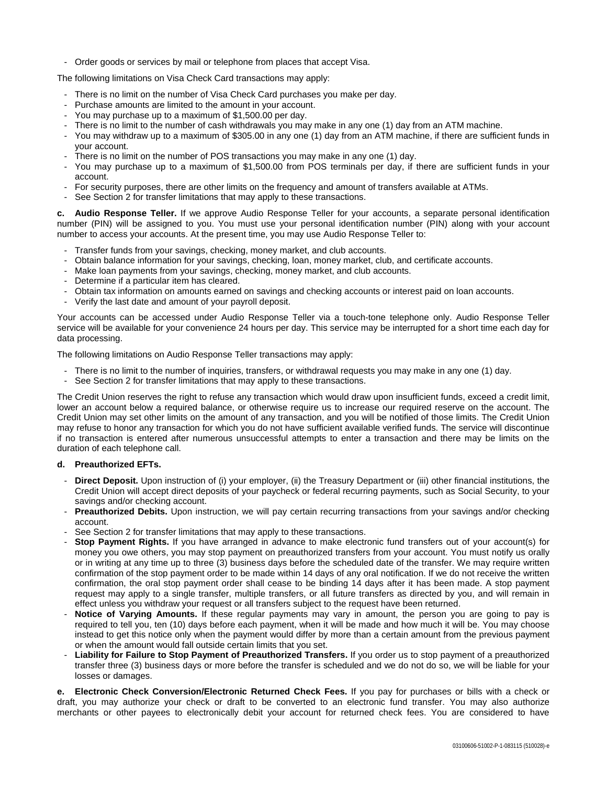- Order goods or services by mail or telephone from places that accept Visa.

The following limitations on Visa Check Card transactions may apply:

- There is no limit on the number of Visa Check Card purchases you make per day.
- Purchase amounts are limited to the amount in your account.
- You may purchase up to a maximum of \$1,500.00 per day.
- There is no limit to the number of cash withdrawals you may make in any one (1) day from an ATM machine.
- You may withdraw up to a maximum of \$305.00 in any one (1) day from an ATM machine, if there are sufficient funds in your account.
- There is no limit on the number of POS transactions you may make in any one (1) day.
- You may purchase up to a maximum of \$1,500.00 from POS terminals per day, if there are sufficient funds in your account.
- For security purposes, there are other limits on the frequency and amount of transfers available at ATMs.
- See Section 2 for transfer limitations that may apply to these transactions.

**c. Audio Response Teller.** If we approve Audio Response Teller for your accounts, a separate personal identification number (PIN) will be assigned to you. You must use your personal identification number (PIN) along with your account number to access your accounts. At the present time, you may use Audio Response Teller to:

- Transfer funds from your savings, checking, money market, and club accounts.
- Obtain balance information for your savings, checking, loan, money market, club, and certificate accounts.
- Make loan payments from your savings, checking, money market, and club accounts.
- Determine if a particular item has cleared.
- Obtain tax information on amounts earned on savings and checking accounts or interest paid on loan accounts.
- Verify the last date and amount of your payroll deposit.

Your accounts can be accessed under Audio Response Teller via a touch-tone telephone only. Audio Response Teller service will be available for your convenience 24 hours per day. This service may be interrupted for a short time each day for data processing.

The following limitations on Audio Response Teller transactions may apply:

- There is no limit to the number of inquiries, transfers, or withdrawal requests you may make in any one (1) day.
- See Section 2 for transfer limitations that may apply to these transactions.

The Credit Union reserves the right to refuse any transaction which would draw upon insufficient funds, exceed a credit limit, lower an account below a required balance, or otherwise require us to increase our required reserve on the account. The Credit Union may set other limits on the amount of any transaction, and you will be notified of those limits. The Credit Union may refuse to honor any transaction for which you do not have sufficient available verified funds. The service will discontinue if no transaction is entered after numerous unsuccessful attempts to enter a transaction and there may be limits on the duration of each telephone call.

#### **d. Preauthorized EFTs.**

- **Direct Deposit.** Upon instruction of (i) your employer, (ii) the Treasury Department or (iii) other financial institutions, the Credit Union will accept direct deposits of your paycheck or federal recurring payments, such as Social Security, to your savings and/or checking account.
- Preauthorized Debits. Upon instruction, we will pay certain recurring transactions from your savings and/or checking account.
- See Section 2 for transfer limitations that may apply to these transactions.
- **Stop Payment Rights.** If you have arranged in advance to make electronic fund transfers out of your account(s) for money you owe others, you may stop payment on preauthorized transfers from your account. You must notify us orally or in writing at any time up to three (3) business days before the scheduled date of the transfer. We may require written confirmation of the stop payment order to be made within 14 days of any oral notification. If we do not receive the written confirmation, the oral stop payment order shall cease to be binding 14 days after it has been made. A stop payment request may apply to a single transfer, multiple transfers, or all future transfers as directed by you, and will remain in effect unless you withdraw your request or all transfers subject to the request have been returned.
- Notice of Varying Amounts. If these regular payments may vary in amount, the person you are going to pay is required to tell you, ten (10) days before each payment, when it will be made and how much it will be. You may choose instead to get this notice only when the payment would differ by more than a certain amount from the previous payment or when the amount would fall outside certain limits that you set.
- **Liability for Failure to Stop Payment of Preauthorized Transfers.** If you order us to stop payment of a preauthorized transfer three (3) business days or more before the transfer is scheduled and we do not do so, we will be liable for your losses or damages.

**e. Electronic Check Conversion/Electronic Returned Check Fees.** If you pay for purchases or bills with a check or draft, you may authorize your check or draft to be converted to an electronic fund transfer. You may also authorize merchants or other payees to electronically debit your account for returned check fees. You are considered to have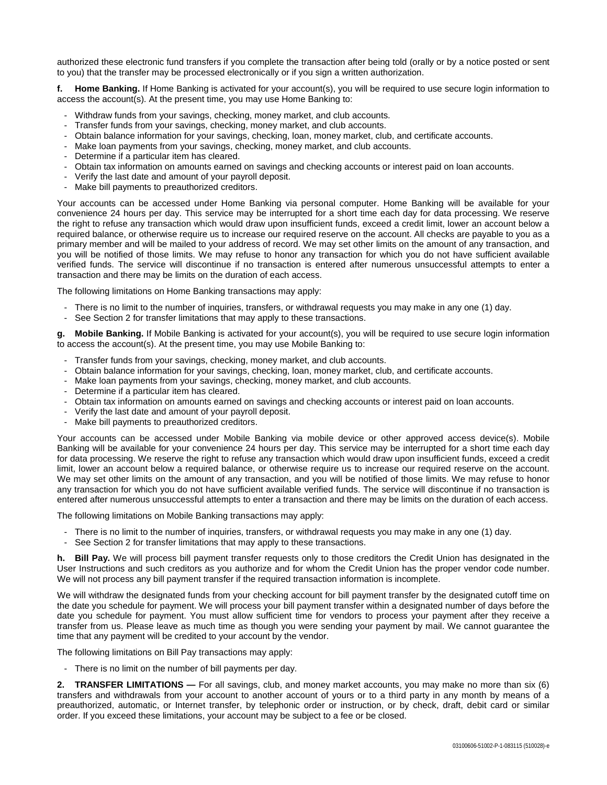authorized these electronic fund transfers if you complete the transaction after being told (orally or by a notice posted or sent to you) that the transfer may be processed electronically or if you sign a written authorization.

**f. Home Banking.** If Home Banking is activated for your account(s), you will be required to use secure login information to access the account(s). At the present time, you may use Home Banking to:

- Withdraw funds from your savings, checking, money market, and club accounts.
- Transfer funds from your savings, checking, money market, and club accounts.
- Obtain balance information for your savings, checking, loan, money market, club, and certificate accounts.
- Make loan payments from your savings, checking, money market, and club accounts.
- Determine if a particular item has cleared.
- Obtain tax information on amounts earned on savings and checking accounts or interest paid on loan accounts.
- Verify the last date and amount of your payroll deposit.
- Make bill payments to preauthorized creditors.

Your accounts can be accessed under Home Banking via personal computer. Home Banking will be available for your convenience 24 hours per day. This service may be interrupted for a short time each day for data processing. We reserve the right to refuse any transaction which would draw upon insufficient funds, exceed a credit limit, lower an account below a required balance, or otherwise require us to increase our required reserve on the account. All checks are payable to you as a primary member and will be mailed to your address of record. We may set other limits on the amount of any transaction, and you will be notified of those limits. We may refuse to honor any transaction for which you do not have sufficient available verified funds. The service will discontinue if no transaction is entered after numerous unsuccessful attempts to enter a transaction and there may be limits on the duration of each access.

The following limitations on Home Banking transactions may apply:

- There is no limit to the number of inquiries, transfers, or withdrawal requests you may make in any one (1) day.
- See Section 2 for transfer limitations that may apply to these transactions.

**g. Mobile Banking.** If Mobile Banking is activated for your account(s), you will be required to use secure login information to access the account(s). At the present time, you may use Mobile Banking to:

- Transfer funds from your savings, checking, money market, and club accounts.
- Obtain balance information for your savings, checking, loan, money market, club, and certificate accounts.
- Make loan payments from your savings, checking, money market, and club accounts.
- Determine if a particular item has cleared.
- Obtain tax information on amounts earned on savings and checking accounts or interest paid on loan accounts.
- Verify the last date and amount of your payroll deposit.
- Make bill payments to preauthorized creditors.

Your accounts can be accessed under Mobile Banking via mobile device or other approved access device(s). Mobile Banking will be available for your convenience 24 hours per day. This service may be interrupted for a short time each day for data processing. We reserve the right to refuse any transaction which would draw upon insufficient funds, exceed a credit limit, lower an account below a required balance, or otherwise require us to increase our required reserve on the account. We may set other limits on the amount of any transaction, and you will be notified of those limits. We may refuse to honor any transaction for which you do not have sufficient available verified funds. The service will discontinue if no transaction is entered after numerous unsuccessful attempts to enter a transaction and there may be limits on the duration of each access.

The following limitations on Mobile Banking transactions may apply:

- There is no limit to the number of inquiries, transfers, or withdrawal requests you may make in any one (1) day.
- See Section 2 for transfer limitations that may apply to these transactions.

**h. Bill Pay.** We will process bill payment transfer requests only to those creditors the Credit Union has designated in the User Instructions and such creditors as you authorize and for whom the Credit Union has the proper vendor code number. We will not process any bill payment transfer if the required transaction information is incomplete.

We will withdraw the designated funds from your checking account for bill payment transfer by the designated cutoff time on the date you schedule for payment. We will process your bill payment transfer within a designated number of days before the date you schedule for payment. You must allow sufficient time for vendors to process your payment after they receive a transfer from us. Please leave as much time as though you were sending your payment by mail. We cannot guarantee the time that any payment will be credited to your account by the vendor.

The following limitations on Bill Pay transactions may apply:

- There is no limit on the number of bill payments per day.

**2. TRANSFER LIMITATIONS —** For all savings, club, and money market accounts, you may make no more than six (6) transfers and withdrawals from your account to another account of yours or to a third party in any month by means of a preauthorized, automatic, or Internet transfer, by telephonic order or instruction, or by check, draft, debit card or similar order. If you exceed these limitations, your account may be subject to a fee or be closed.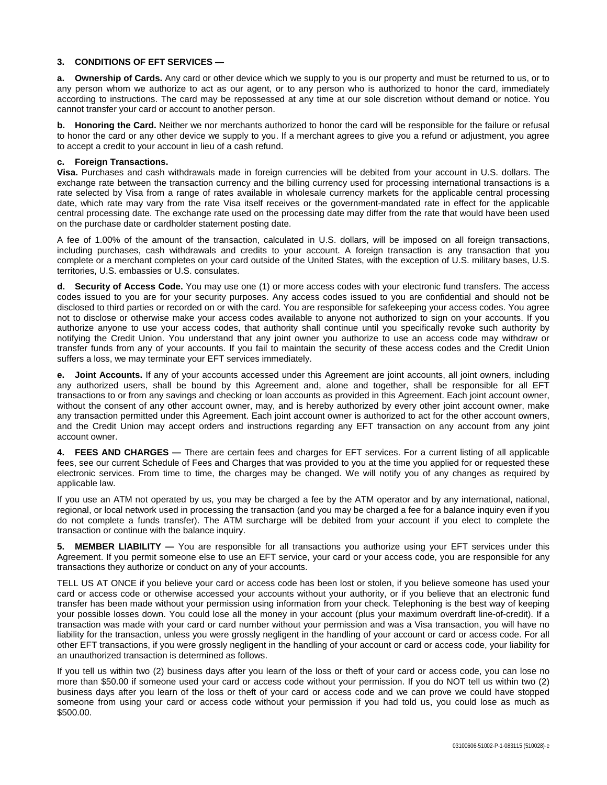### **3. CONDITIONS OF EFT SERVICES —**

**a. Ownership of Cards.** Any card or other device which we supply to you is our property and must be returned to us, or to any person whom we authorize to act as our agent, or to any person who is authorized to honor the card, immediately according to instructions. The card may be repossessed at any time at our sole discretion without demand or notice. You cannot transfer your card or account to another person.

**b. Honoring the Card.** Neither we nor merchants authorized to honor the card will be responsible for the failure or refusal to honor the card or any other device we supply to you. If a merchant agrees to give you a refund or adjustment, you agree to accept a credit to your account in lieu of a cash refund.

#### **c. Foreign Transactions.**

**Visa.** Purchases and cash withdrawals made in foreign currencies will be debited from your account in U.S. dollars. The exchange rate between the transaction currency and the billing currency used for processing international transactions is a rate selected by Visa from a range of rates available in wholesale currency markets for the applicable central processing date, which rate may vary from the rate Visa itself receives or the government-mandated rate in effect for the applicable central processing date. The exchange rate used on the processing date may differ from the rate that would have been used on the purchase date or cardholder statement posting date.

A fee of 1.00% of the amount of the transaction, calculated in U.S. dollars, will be imposed on all foreign transactions, including purchases, cash withdrawals and credits to your account. A foreign transaction is any transaction that you complete or a merchant completes on your card outside of the United States, with the exception of U.S. military bases, U.S. territories, U.S. embassies or U.S. consulates.

**d. Security of Access Code.** You may use one (1) or more access codes with your electronic fund transfers. The access codes issued to you are for your security purposes. Any access codes issued to you are confidential and should not be disclosed to third parties or recorded on or with the card. You are responsible for safekeeping your access codes. You agree not to disclose or otherwise make your access codes available to anyone not authorized to sign on your accounts. If you authorize anyone to use your access codes, that authority shall continue until you specifically revoke such authority by notifying the Credit Union. You understand that any joint owner you authorize to use an access code may withdraw or transfer funds from any of your accounts. If you fail to maintain the security of these access codes and the Credit Union suffers a loss, we may terminate your EFT services immediately.

**e.** Joint Accounts. If any of your accounts accessed under this Agreement are joint accounts, all joint owners, including any authorized users, shall be bound by this Agreement and, alone and together, shall be responsible for all EFT transactions to or from any savings and checking or loan accounts as provided in this Agreement. Each joint account owner, without the consent of any other account owner, may, and is hereby authorized by every other joint account owner, make any transaction permitted under this Agreement. Each joint account owner is authorized to act for the other account owners, and the Credit Union may accept orders and instructions regarding any EFT transaction on any account from any joint account owner.

**4. FEES AND CHARGES —** There are certain fees and charges for EFT services. For a current listing of all applicable fees, see our current Schedule of Fees and Charges that was provided to you at the time you applied for or requested these electronic services. From time to time, the charges may be changed. We will notify you of any changes as required by applicable law.

If you use an ATM not operated by us, you may be charged a fee by the ATM operator and by any international, national, regional, or local network used in processing the transaction (and you may be charged a fee for a balance inquiry even if you do not complete a funds transfer). The ATM surcharge will be debited from your account if you elect to complete the transaction or continue with the balance inquiry.

**5. MEMBER LIABILITY —** You are responsible for all transactions you authorize using your EFT services under this Agreement. If you permit someone else to use an EFT service, your card or your access code, you are responsible for any transactions they authorize or conduct on any of your accounts.

TELL US AT ONCE if you believe your card or access code has been lost or stolen, if you believe someone has used your card or access code or otherwise accessed your accounts without your authority, or if you believe that an electronic fund transfer has been made without your permission using information from your check. Telephoning is the best way of keeping your possible losses down. You could lose all the money in your account (plus your maximum overdraft line-of-credit). If a transaction was made with your card or card number without your permission and was a Visa transaction, you will have no liability for the transaction, unless you were grossly negligent in the handling of your account or card or access code. For all other EFT transactions, if you were grossly negligent in the handling of your account or card or access code, your liability for an unauthorized transaction is determined as follows.

If you tell us within two (2) business days after you learn of the loss or theft of your card or access code, you can lose no more than \$50.00 if someone used your card or access code without your permission. If you do NOT tell us within two (2) business days after you learn of the loss or theft of your card or access code and we can prove we could have stopped someone from using your card or access code without your permission if you had told us, you could lose as much as \$500.00.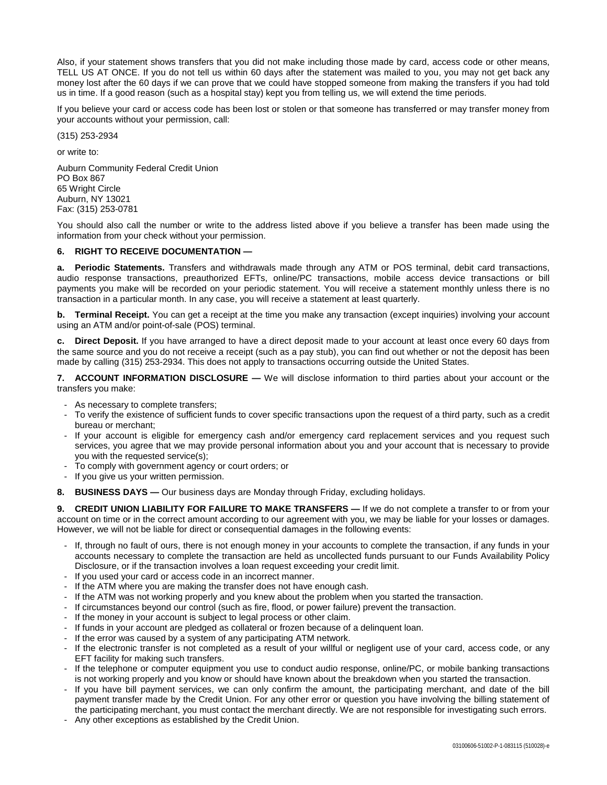Also, if your statement shows transfers that you did not make including those made by card, access code or other means, TELL US AT ONCE. If you do not tell us within 60 days after the statement was mailed to you, you may not get back any money lost after the 60 days if we can prove that we could have stopped someone from making the transfers if you had told us in time. If a good reason (such as a hospital stay) kept you from telling us, we will extend the time periods.

If you believe your card or access code has been lost or stolen or that someone has transferred or may transfer money from your accounts without your permission, call:

(315) 253-2934

or write to:

Auburn Community Federal Credit Union PO Box 867 **65 Wright Circle** Auburn, NY 13021 Fax: (315) 253-0781

You should also call the number or write to the address listed above if you believe a transfer has been made using the information from your check without your permission.

## **6. RIGHT TO RECEIVE DOCUMENTATION —**

**a. Periodic Statements.** Transfers and withdrawals made through any ATM or POS terminal, debit card transactions, audio response transactions, preauthorized EFTs, online/PC transactions, mobile access device transactions or bill payments you make will be recorded on your periodic statement. You will receive a statement monthly unless there is no transaction in a particular month. In any case, you will receive a statement at least quarterly.

**b. Terminal Receipt.** You can get a receipt at the time you make any transaction (except inquiries) involving your account using an ATM and/or point-of-sale (POS) terminal.

**c. Direct Deposit.** If you have arranged to have a direct deposit made to your account at least once every 60 days from the same source and you do not receive a receipt (such as a pay stub), you can find out whether or not the deposit has been made by calling (315) 253-2934. This does not apply to transactions occurring outside the United States.

**7. ACCOUNT INFORMATION DISCLOSURE —** We will disclose information to third parties about your account or the transfers you make:

- As necessary to complete transfers;
- To verify the existence of sufficient funds to cover specific transactions upon the request of a third party, such as a credit bureau or merchant;
- If your account is eligible for emergency cash and/or emergency card replacement services and you request such services, you agree that we may provide personal information about you and your account that is necessary to provide you with the requested service(s);
- To comply with government agency or court orders; or
- If you give us your written permission.
- **8. BUSINESS DAYS —** Our business days are Monday through Friday, excluding holidays.

**9. CREDIT UNION LIABILITY FOR FAILURE TO MAKE TRANSFERS —** If we do not complete a transfer to or from your account on time or in the correct amount according to our agreement with you, we may be liable for your losses or damages. However, we will not be liable for direct or consequential damages in the following events:

- If, through no fault of ours, there is not enough money in your accounts to complete the transaction, if any funds in your accounts necessary to complete the transaction are held as uncollected funds pursuant to our Funds Availability Policy Disclosure, or if the transaction involves a loan request exceeding your credit limit.
- If you used your card or access code in an incorrect manner.
- If the ATM where you are making the transfer does not have enough cash.
- If the ATM was not working properly and you knew about the problem when you started the transaction.
- If circumstances beyond our control (such as fire, flood, or power failure) prevent the transaction.
- If the money in your account is subject to legal process or other claim.
- If funds in your account are pledged as collateral or frozen because of a delinquent loan.
- If the error was caused by a system of any participating ATM network.
- If the electronic transfer is not completed as a result of your willful or negligent use of your card, access code, or any EFT facility for making such transfers.
- If the telephone or computer equipment you use to conduct audio response, online/PC, or mobile banking transactions is not working properly and you know or should have known about the breakdown when you started the transaction.
- If you have bill payment services, we can only confirm the amount, the participating merchant, and date of the bill payment transfer made by the Credit Union. For any other error or question you have involving the billing statement of the participating merchant, you must contact the merchant directly. We are not responsible for investigating such errors.
- Any other exceptions as established by the Credit Union.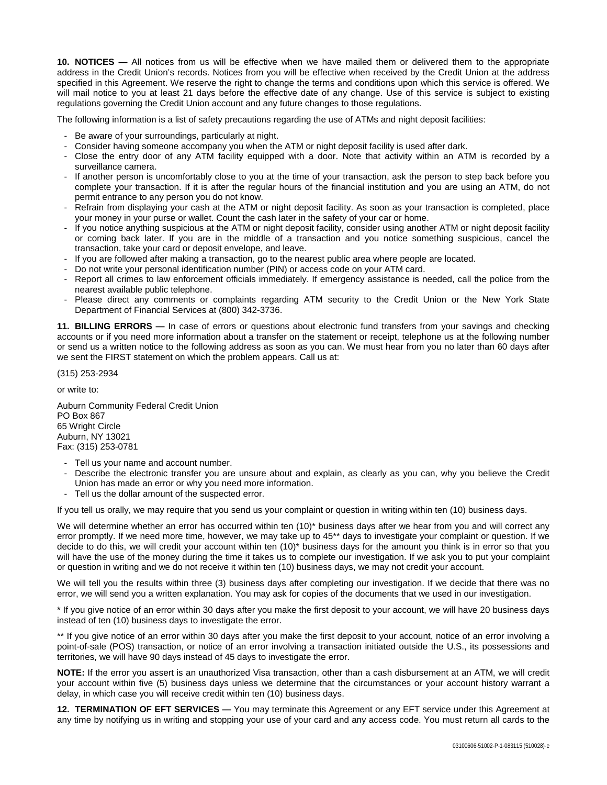**10. NOTICES —** All notices from us will be effective when we have mailed them or delivered them to the appropriate address in the Credit Union's records. Notices from you will be effective when received by the Credit Union at the address specified in this Agreement. We reserve the right to change the terms and conditions upon which this service is offered. We will mail notice to you at least 21 days before the effective date of any change. Use of this service is subject to existing regulations governing the Credit Union account and any future changes to those regulations.

The following information is a list of safety precautions regarding the use of ATMs and night deposit facilities:

- Be aware of your surroundings, particularly at night.
- Consider having someone accompany you when the ATM or night deposit facility is used after dark.
- Close the entry door of any ATM facility equipped with a door. Note that activity within an ATM is recorded by a surveillance camera.
- If another person is uncomfortably close to you at the time of your transaction, ask the person to step back before you complete your transaction. If it is after the regular hours of the financial institution and you are using an ATM, do not permit entrance to any person you do not know.
- Refrain from displaying your cash at the ATM or night deposit facility. As soon as your transaction is completed, place your money in your purse or wallet. Count the cash later in the safety of your car or home.
- If you notice anything suspicious at the ATM or night deposit facility, consider using another ATM or night deposit facility or coming back later. If you are in the middle of a transaction and you notice something suspicious, cancel the transaction, take your card or deposit envelope, and leave.
- If you are followed after making a transaction, go to the nearest public area where people are located.
- Do not write your personal identification number (PIN) or access code on your ATM card.
- Report all crimes to law enforcement officials immediately. If emergency assistance is needed, call the police from the nearest available public telephone.
- Please direct any comments or complaints regarding ATM security to the Credit Union or the New York State Department of Financial Services at (800) 342-3736.

**11. BILLING ERRORS —** In case of errors or questions about electronic fund transfers from your savings and checking accounts or if you need more information about a transfer on the statement or receipt, telephone us at the following number or send us a written notice to the following address as soon as you can. We must hear from you no later than 60 days after we sent the FIRST statement on which the problem appears. Call us at:

(315) 253-2934

or write to:

Auburn Community Federal Credit Union PO Box 867 65 Wright Circle Auburn, NY 13021 Fax: (315) 253-0781

- Tell us your name and account number.
- Describe the electronic transfer you are unsure about and explain, as clearly as you can, why you believe the Credit Union has made an error or why you need more information.
- Tell us the dollar amount of the suspected error.

If you tell us orally, we may require that you send us your complaint or question in writing within ten (10) business days.

We will determine whether an error has occurred within ten (10)\* business days after we hear from you and will correct any error promptly. If we need more time, however, we may take up to 45\*\* days to investigate your complaint or question. If we decide to do this, we will credit your account within ten (10)\* business days for the amount you think is in error so that you will have the use of the money during the time it takes us to complete our investigation. If we ask you to put your complaint or question in writing and we do not receive it within ten (10) business days, we may not credit your account.

We will tell you the results within three (3) business days after completing our investigation. If we decide that there was no error, we will send you a written explanation. You may ask for copies of the documents that we used in our investigation.

\* If you give notice of an error within 30 days after you make the first deposit to your account, we will have 20 business days instead of ten (10) business days to investigate the error.

\*\* If you give notice of an error within 30 days after you make the first deposit to your account, notice of an error involving a point-of-sale (POS) transaction, or notice of an error involving a transaction initiated outside the U.S., its possessions and territories, we will have 90 days instead of 45 days to investigate the error.

**NOTE:** If the error you assert is an unauthorized Visa transaction, other than a cash disbursement at an ATM, we will credit your account within five (5) business days unless we determine that the circumstances or your account history warrant a delay, in which case you will receive credit within ten (10) business days.

**12. TERMINATION OF EFT SERVICES —** You may terminate this Agreement or any EFT service under this Agreement at any time by notifying us in writing and stopping your use of your card and any access code. You must return all cards to the